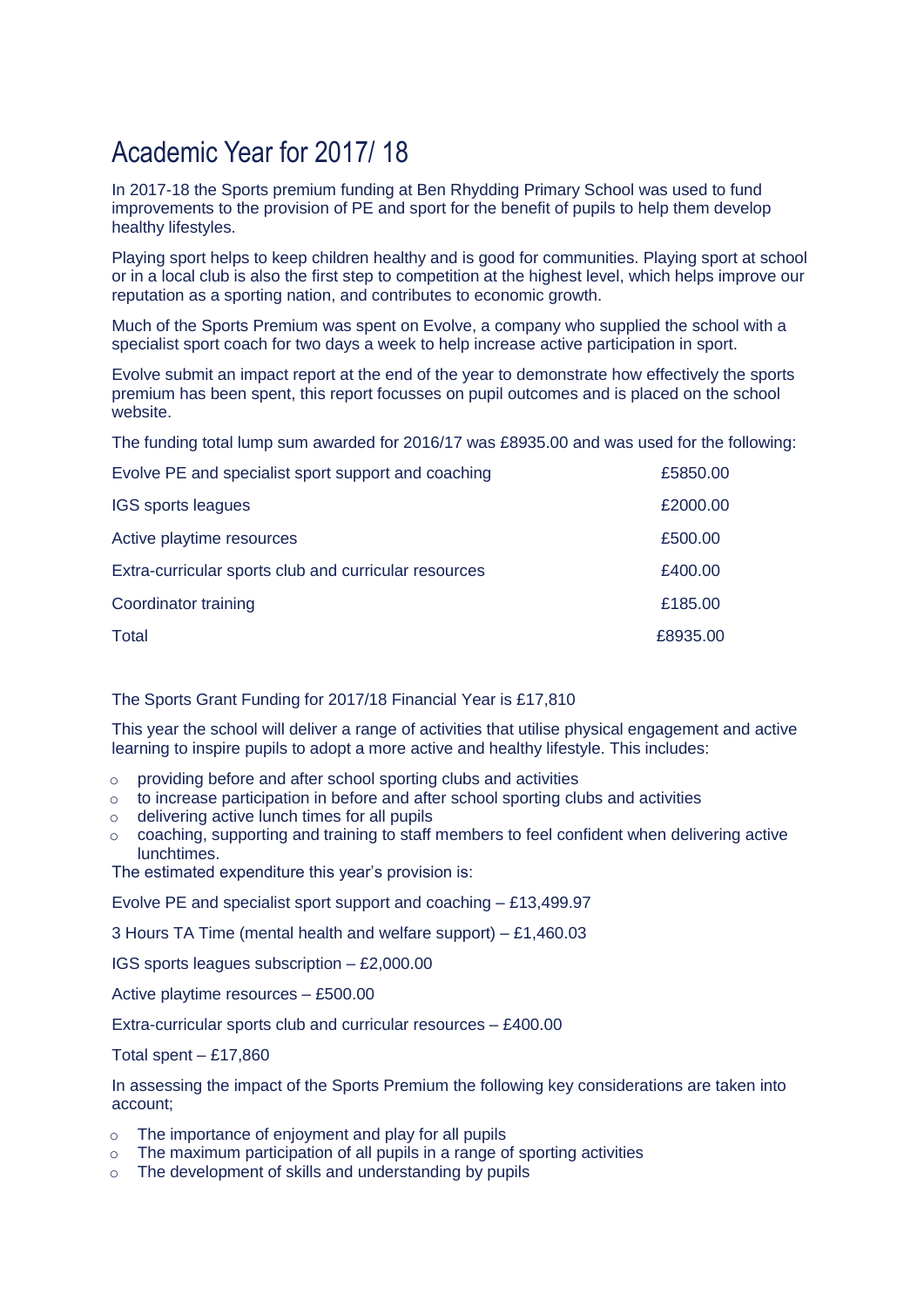## Academic Year for 2017/ 18

In 2017-18 the Sports premium funding at Ben Rhydding Primary School was used to fund improvements to the provision of PE and sport for the benefit of pupils to help them develop healthy lifestyles.

Playing sport helps to keep children healthy and is good for communities. Playing sport at school or in a local club is also the first step to competition at the highest level, which helps improve our reputation as a sporting nation, and contributes to economic growth.

Much of the Sports Premium was spent on Evolve, a company who supplied the school with a specialist sport coach for two days a week to help increase active participation in sport.

Evolve submit an impact report at the end of the year to demonstrate how effectively the sports premium has been spent, this report focusses on pupil outcomes and is placed on the school website.

The funding total lump sum awarded for 2016/17 was £8935.00 and was used for the following:

| Evolve PE and specialist sport support and coaching   | £5850.00 |
|-------------------------------------------------------|----------|
| IGS sports leagues                                    | £2000.00 |
| Active playtime resources                             | £500.00  |
| Extra-curricular sports club and curricular resources | £400.00  |
| Coordinator training                                  | £185.00  |
| Total                                                 | £8935.00 |

## The Sports Grant Funding for 2017/18 Financial Year is £17,810

This year the school will deliver a range of activities that utilise physical engagement and active learning to inspire pupils to adopt a more active and healthy lifestyle. This includes:

- providing before and after school sporting clubs and activities
- $\circ$  to increase participation in before and after school sporting clubs and activities
- o delivering active lunch times for all pupils
- $\circ$  coaching, supporting and training to staff members to feel confident when delivering active lunchtimes.

The estimated expenditure this year's provision is:

Evolve PE and specialist sport support and coaching – £13,499.97

3 Hours TA Time (mental health and welfare support) – £1,460.03

IGS sports leagues subscription – £2,000.00

Active playtime resources – £500.00

Extra-curricular sports club and curricular resources – £400.00

Total spent – £17,860

In assessing the impact of the Sports Premium the following key considerations are taken into account;

- o The importance of enjoyment and play for all pupils
- o The maximum participation of all pupils in a range of sporting activities
- o The development of skills and understanding by pupils